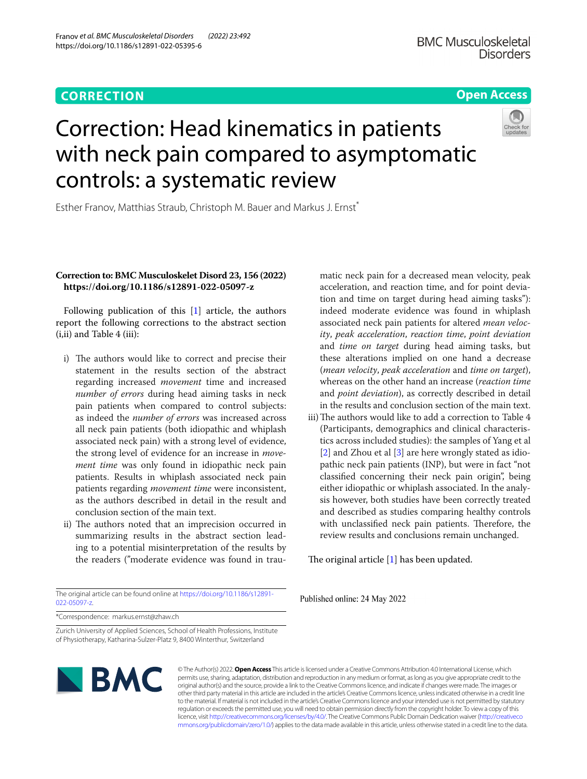### **CORRECTION**

Franov *et al. BMC Musculoskeletal Disorders (2022) 23:492* 

https://doi.org/10.1186/s12891-022-05395-6

#### **Open Access**

# Correction: Head kinematics in patients with neck pain compared to asymptomatic controls: a systematic review



Esther Franov, Matthias Straub, Christoph M. Bauer and Markus J. Ernst<sup>\*</sup>

#### **Correction to: BMC Musculoskelet Disord 23, 156 (2022) https://doi.org/10.1186/s12891-022-05097-z**

Following publication of this [\[1](#page-1-0)] article, the authors report the following corrections to the abstract section (i,ii) and Table 4 (iii):

- i) The authors would like to correct and precise their statement in the results section of the abstract regarding increased *movement* time and increased *number of errors* during head aiming tasks in neck pain patients when compared to control subjects: as indeed the *number of errors* was increased across all neck pain patients (both idiopathic and whiplash associated neck pain) with a strong level of evidence, the strong level of evidence for an increase in *movement time* was only found in idiopathic neck pain patients. Results in whiplash associated neck pain patients regarding *movement time* were inconsistent, as the authors described in detail in the result and conclusion section of the main text.
- ii) The authors noted that an imprecision occurred in summarizing results in the abstract section leading to a potential misinterpretation of the results by the readers ("moderate evidence was found in trau-

The original article can be found online at [https://doi.org/10.1186/s12891-](https://doi.org/10.1186/s12891-022-05097-z) [022-05097-z](https://doi.org/10.1186/s12891-022-05097-z).

matic neck pain for a decreased mean velocity, peak acceleration, and reaction time, and for point deviation and time on target during head aiming tasks"): indeed moderate evidence was found in whiplash associated neck pain patients for altered *mean velocity*, *peak acceleration*, *reaction time*, *point deviation* and *time on target* during head aiming tasks, but these alterations implied on one hand a decrease (*mean velocity*, *peak acceleration* and *time on target*), whereas on the other hand an increase (*reaction time* and *point deviation*), as correctly described in detail in the results and conclusion section of the main text.

iii) The authors would like to add a correction to Table 4 (Participants, demographics and clinical characteristics across included studies): the samples of Yang et al [[2\]](#page-1-1) and Zhou et al [\[3](#page-1-2)] are here wrongly stated as idiopathic neck pain patients (INP), but were in fact "not classifed concerning their neck pain origin", being either idiopathic or whiplash associated. In the analysis however, both studies have been correctly treated and described as studies comparing healthy controls with unclassified neck pain patients. Therefore, the review results and conclusions remain unchanged.

The original article  $[1]$  $[1]$  has been updated.

Published online: 24 May 2022

\*Correspondence: markus.ernst@zhaw.ch

Zurich University of Applied Sciences, School of Health Professions, Institute of Physiotherapy, Katharina-Sulzer-Platz 9, 8400 Winterthur, Switzerland



© The Author(s) 2022. **Open Access** This article is licensed under a Creative Commons Attribution 4.0 International License, which permits use, sharing, adaptation, distribution and reproduction in any medium or format, as long as you give appropriate credit to the original author(s) and the source, provide a link to the Creative Commons licence, and indicate if changes were made. The images or other third party material in this article are included in the article's Creative Commons licence, unless indicated otherwise in a credit line to the material. If material is not included in the article's Creative Commons licence and your intended use is not permitted by statutory regulation or exceeds the permitted use, you will need to obtain permission directly from the copyright holder. To view a copy of this licence, visit [http://creativecommons.org/licenses/by/4.0/.](http://creativecommons.org/licenses/by/4.0/) The Creative Commons Public Domain Dedication waiver ([http://creativeco](http://creativecommons.org/publicdomain/zero/1.0/) [mmons.org/publicdomain/zero/1.0/](http://creativecommons.org/publicdomain/zero/1.0/)) applies to the data made available in this article, unless otherwise stated in a credit line to the data.